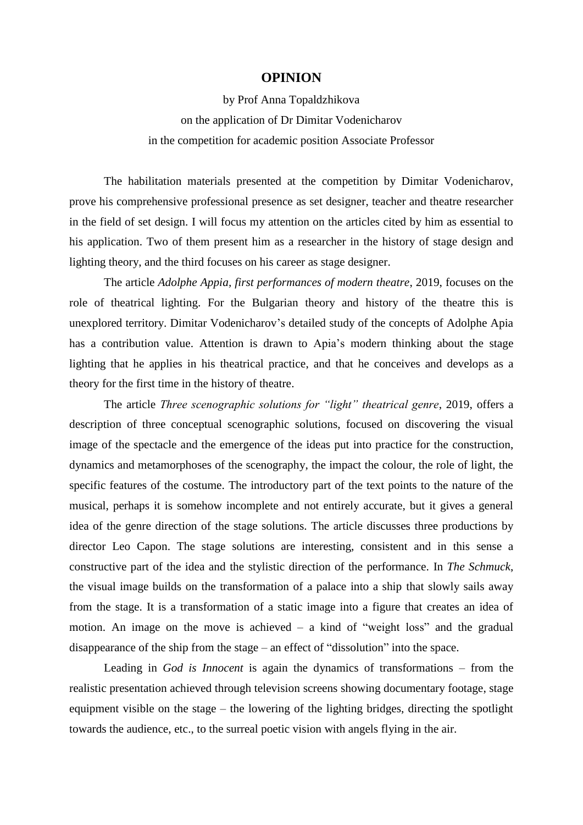## **OPINION**

by Prof Anna Topaldzhikova on the application of Dr Dimitar Vodenicharov in the competition for academic position Associate Professor

The habilitation materials presented at the competition by Dimitar Vodenicharov, prove his comprehensive professional presence as set designer, teacher and theatre researcher in the field of set design. I will focus my attention on the articles cited by him as essential to his application. Two of them present him as a researcher in the history of stage design and lighting theory, and the third focuses on his career as stage designer.

The article *Adolphe Appia, first performances of modern theatre*, 2019, focuses on the role of theatrical lighting. For the Bulgarian theory and history of the theatre this is unexplored territory. Dimitar Vodenicharov's detailed study of the concepts of Adolphe Apia has a contribution value. Attention is drawn to Apia's modern thinking about the stage lighting that he applies in his theatrical practice, and that he conceives and develops as a theory for the first time in the history of theatre.

The article *Three scenographic solutions for "light" theatrical genre*, 2019, offers a description of three conceptual scenographic solutions, focused on discovering the visual image of the spectacle and the emergence of the ideas put into practice for the construction, dynamics and metamorphoses of the scenography, the impact the colour, the role of light, the specific features of the costume. The introductory part of the text points to the nature of the musical, perhaps it is somehow incomplete and not entirely accurate, but it gives a general idea of the genre direction of the stage solutions. The article discusses three productions by director Leo Capon. The stage solutions are interesting, consistent and in this sense a constructive part of the idea and the stylistic direction of the performance. In *The Schmuck*, the visual image builds on the transformation of a palace into a ship that slowly sails away from the stage. It is a transformation of a static image into a figure that creates an idea of motion. An image on the move is achieved – a kind of "weight loss" and the gradual disappearance of the ship from the stage – an effect of "dissolution" into the space.

Leading in *God is Innocent* is again the dynamics of transformations – from the realistic presentation achieved through television screens showing documentary footage, stage equipment visible on the stage – the lowering of the lighting bridges, directing the spotlight towards the audience, etc., to the surreal poetic vision with angels flying in the air.